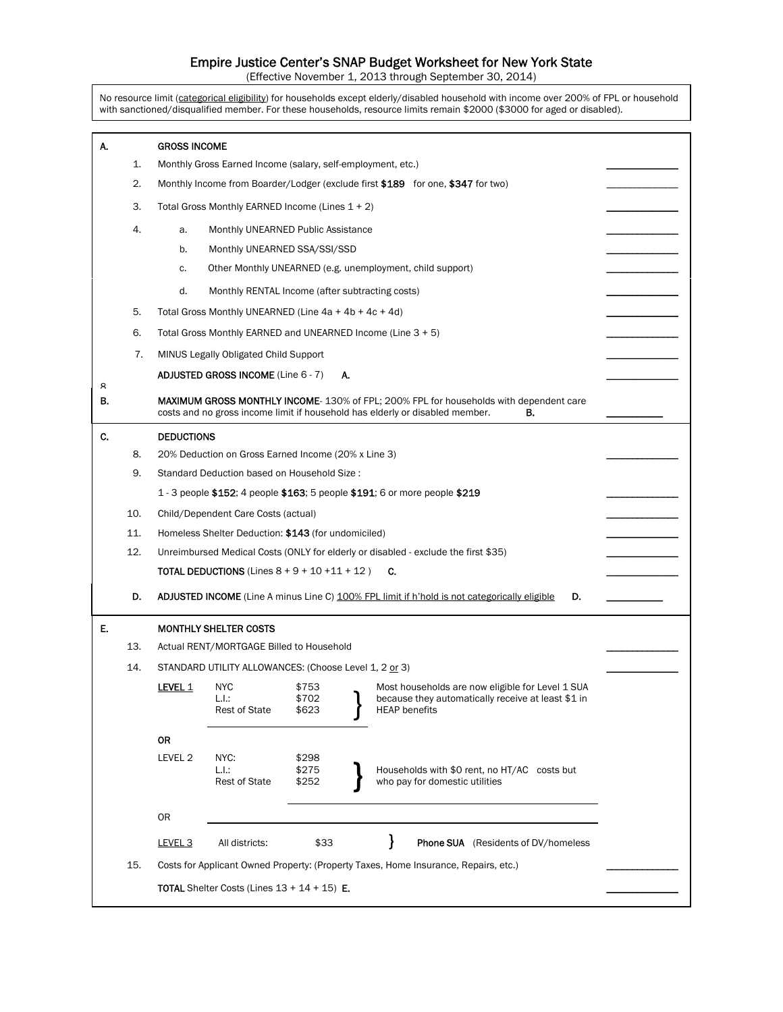## Empire Justice Center's SNAP Budget Worksheet for New York State

(Effective November 1, 2013 through September 30, 2014)

No resource limit (categorical eligibility) for households except elderly/disabled household with income over 200% of FPL or household with sanctioned/disqualified member. For these households, resource limits remain \$2000 (\$3000 for aged or disabled).

| А.      |     | <b>GROSS INCOME</b>                                                                                                                                                          |                                                             |                         |  |                                                                                                                                |  |  |  |  |
|---------|-----|------------------------------------------------------------------------------------------------------------------------------------------------------------------------------|-------------------------------------------------------------|-------------------------|--|--------------------------------------------------------------------------------------------------------------------------------|--|--|--|--|
|         | 1.  | Monthly Gross Earned Income (salary, self-employment, etc.)                                                                                                                  |                                                             |                         |  |                                                                                                                                |  |  |  |  |
|         | 2.  | Monthly Income from Boarder/Lodger (exclude first \$189 for one, \$347 for two)                                                                                              |                                                             |                         |  |                                                                                                                                |  |  |  |  |
|         | 3.  | Total Gross Monthly EARNED Income (Lines 1 + 2)                                                                                                                              |                                                             |                         |  |                                                                                                                                |  |  |  |  |
|         | 4.  | a.                                                                                                                                                                           |                                                             |                         |  |                                                                                                                                |  |  |  |  |
|         |     | b.                                                                                                                                                                           | Monthly UNEARNED SSA/SSI/SSD                                |                         |  |                                                                                                                                |  |  |  |  |
|         |     | c.                                                                                                                                                                           | Other Monthly UNEARNED (e.g. unemployment, child support)   |                         |  |                                                                                                                                |  |  |  |  |
|         |     | d.                                                                                                                                                                           | Monthly RENTAL Income (after subtracting costs)             |                         |  |                                                                                                                                |  |  |  |  |
|         | 5.  |                                                                                                                                                                              | Total Gross Monthly UNEARNED (Line $4a + 4b + 4c + 4d$ )    |                         |  |                                                                                                                                |  |  |  |  |
|         | 6.  |                                                                                                                                                                              | Total Gross Monthly EARNED and UNEARNED Income (Line 3 + 5) |                         |  |                                                                                                                                |  |  |  |  |
|         | 7.  |                                                                                                                                                                              | MINUS Legally Obligated Child Support                       |                         |  |                                                                                                                                |  |  |  |  |
|         |     | <b>ADJUSTED GROSS INCOME (Line 6 - 7)</b>                                                                                                                                    |                                                             |                         |  |                                                                                                                                |  |  |  |  |
| я<br>В. |     | <b>MAXIMUM GROSS MONTHLY INCOME-130% of FPL; 200% FPL for households with dependent care</b><br>costs and no gross income limit if household has elderly or disabled member. |                                                             |                         |  |                                                                                                                                |  |  |  |  |
| C.      |     | <b>DEDUCTIONS</b>                                                                                                                                                            |                                                             |                         |  |                                                                                                                                |  |  |  |  |
|         | 8.  | 20% Deduction on Gross Earned Income (20% x Line 3)                                                                                                                          |                                                             |                         |  |                                                                                                                                |  |  |  |  |
|         | 9.  | Standard Deduction based on Household Size:                                                                                                                                  |                                                             |                         |  |                                                                                                                                |  |  |  |  |
|         |     | 1 - 3 people \$152; 4 people \$163; 5 people \$191; 6 or more people \$219                                                                                                   |                                                             |                         |  |                                                                                                                                |  |  |  |  |
|         | 10. | Child/Dependent Care Costs (actual)                                                                                                                                          |                                                             |                         |  |                                                                                                                                |  |  |  |  |
|         | 11. | Homeless Shelter Deduction: \$143 (for undomiciled)                                                                                                                          |                                                             |                         |  |                                                                                                                                |  |  |  |  |
|         | 12. | Unreimbursed Medical Costs (ONLY for elderly or disabled - exclude the first \$35)                                                                                           |                                                             |                         |  |                                                                                                                                |  |  |  |  |
|         |     | <b>TOTAL DEDUCTIONS</b> (Lines $8 + 9 + 10 + 11 + 12$ )                                                                                                                      |                                                             |                         |  |                                                                                                                                |  |  |  |  |
|         | D.  | <b>ADJUSTED INCOME</b> (Line A minus Line C) 100% FPL limit if h'hold is not categorically eligible<br>D.                                                                    |                                                             |                         |  |                                                                                                                                |  |  |  |  |
| E.      |     | <b>MONTHLY SHELTER COSTS</b>                                                                                                                                                 |                                                             |                         |  |                                                                                                                                |  |  |  |  |
|         | 13. |                                                                                                                                                                              | Actual RENT/MORTGAGE Billed to Household                    |                         |  |                                                                                                                                |  |  |  |  |
|         | 14. |                                                                                                                                                                              | STANDARD UTILITY ALLOWANCES: (Choose Level 1, 2 or 3)       |                         |  |                                                                                                                                |  |  |  |  |
|         |     | <b>LEVEL 1</b>                                                                                                                                                               | <b>NYC</b><br>L.I.:<br><b>Rest of State</b>                 | \$753<br>\$702<br>\$623 |  | Most households are now eligible for Level 1 SUA<br>because they automatically receive at least \$1 in<br><b>HEAP</b> benefits |  |  |  |  |
|         |     | <b>OR</b>                                                                                                                                                                    |                                                             |                         |  |                                                                                                                                |  |  |  |  |
|         |     | LEVEL 2                                                                                                                                                                      | NYC:<br>L.l.:<br><b>Rest of State</b>                       | \$298<br>\$275<br>\$252 |  | Households with \$0 rent, no HT/AC costs but<br>who pay for domestic utilities                                                 |  |  |  |  |
|         |     | 0R                                                                                                                                                                           |                                                             |                         |  |                                                                                                                                |  |  |  |  |
|         |     | LEVEL <sub>3</sub>                                                                                                                                                           | All districts:                                              | \$33                    |  | ł<br><b>Phone SUA</b> (Residents of DV/homeless                                                                                |  |  |  |  |
|         | 15. | Costs for Applicant Owned Property: (Property Taxes, Home Insurance, Repairs, etc.)                                                                                          |                                                             |                         |  |                                                                                                                                |  |  |  |  |
|         |     | <b>TOTAL</b> Shelter Costs (Lines $13 + 14 + 15$ ) <b>E.</b>                                                                                                                 |                                                             |                         |  |                                                                                                                                |  |  |  |  |